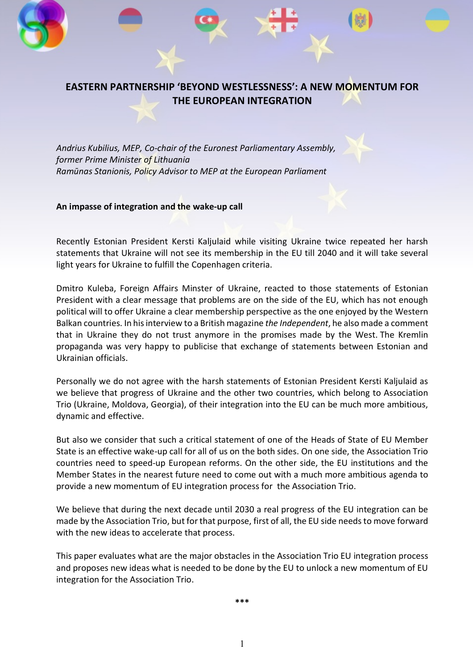# **EASTERN PARTNERSHIP 'BEYOND WESTLESSNESS': A NEW MOMENTUM FOR THE EUROPEAN INTEGRATION**

*Andrius Kubilius, MEP, Co-chair of the Euronest Parliamentary Assembly, former Prime Minister of Lithuania Ramūnas Stanionis, Policy Advisor to MEP at the European Parliament*

#### **An impasse of integration and the wake-up call**

Recently Estonian President Kersti Kaljulaid while visiting Ukraine twice repeated her harsh statements that Ukraine will not see its membership in the EU till 2040 and it will take several light years for Ukraine to fulfill the Copenhagen criteria.

Dmitro Kuleba, Foreign Affairs Minster of Ukraine, reacted to those statements of Estonian President with a clear message that problems are on the side of the EU, which has not enough political will to offer Ukraine a clear membership perspective as the one enjoyed by the Western Balkan countries. In hisinterview to a British magazine *the Independent*, he also made a comment that in Ukraine they do not trust anymore in the promises made by the West. The Kremlin propaganda was very happy to publicise that exchange of statements between Estonian and Ukrainian officials.

Personally we do not agree with the harsh statements of Estonian President Kersti Kaljulaid as we believe that progress of Ukraine and the other two countries, which belong to Association Trio (Ukraine, Moldova, Georgia), of their integration into the EU can be much more ambitious, dynamic and effective.

But also we consider that such a critical statement of one of the Heads of State of EU Member State is an effective wake-up call for all of us on the both sides. On one side, the Association Trio countries need to speed-up European reforms. On the other side, the EU institutions and the Member States in the nearest future need to come out with a much more ambitious agenda to provide a new momentum of EU integration process for the Association Trio.

We believe that during the next decade until 2030 a real progress of the EU integration can be made by the Association Trio, but for that purpose, first of all, the EU side needs to move forward with the new ideas to accelerate that process.

This paper evaluates what are the major obstacles in the Association Trio EU integration process and proposes new ideas what is needed to be done by the EU to unlock a new momentum of EU integration for the Association Trio.

**\*\*\***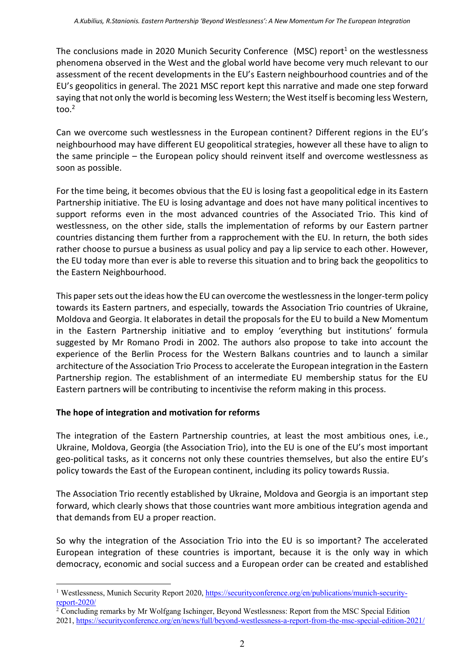The conclusions made in 2020 Munich Security Conference (MSC) report<sup>1</sup> on the westlessness phenomena observed in the West and the global world have become very much relevant to our assessment of the recent developments in the EU's Eastern neighbourhood countries and of the EU's geopolitics in general. The 2021 MSC report kept this narrative and made one step forward saying that not only the world is becoming less Western; the West itself is becoming less Western, too. $2$ 

Can we overcome such westlessness in the European continent? Different regions in the EU's neighbourhood may have different EU geopolitical strategies, however all these have to align to the same principle – the European policy should reinvent itself and overcome westlessness as soon as possible.

For the time being, it becomes obvious that the EU is losing fast a geopolitical edge in its Eastern Partnership initiative. The EU is losing advantage and does not have many political incentives to support reforms even in the most advanced countries of the Associated Trio. This kind of westlessness, on the other side, stalls the implementation of reforms by our Eastern partner countries distancing them further from a rapprochement with the EU. In return, the both sides rather choose to pursue a business as usual policy and pay a lip service to each other. However, the EU today more than ever is able to reverse this situation and to bring back the geopolitics to the Eastern Neighbourhood.

This paper sets out the ideas how the EU can overcome the westlessness in the longer-term policy towards its Eastern partners, and especially, towards the Association Trio countries of Ukraine, Moldova and Georgia. It elaborates in detail the proposals for the EU to build a New Momentum in the Eastern Partnership initiative and to employ 'everything but institutions' formula suggested by Mr Romano Prodi in 2002. The authors also propose to take into account the experience of the Berlin Process for the Western Balkans countries and to launch a similar architecture of the Association Trio Processto accelerate the European integration in the Eastern Partnership region. The establishment of an intermediate EU membership status for the EU Eastern partners will be contributing to incentivise the reform making in this process.

## **The hope of integration and motivation for reforms**

The integration of the Eastern Partnership countries, at least the most ambitious ones, i.e., Ukraine, Moldova, Georgia (the Association Trio), into the EU is one of the EU's most important geo-political tasks, as it concerns not only these countries themselves, but also the entire EU's policy towards the East of the European continent, including its policy towards Russia.

The Association Trio recently established by Ukraine, Moldova and Georgia is an important step forward, which clearly shows that those countries want more ambitious integration agenda and that demands from EU a proper reaction.

So why the integration of the Association Trio into the EU is so important? The accelerated European integration of these countries is important, because it is the only way in which democracy, economic and social success and a European order can be created and established

<sup>1</sup> Westlessness, Munich Security Report 2020, https://securityconference.org/en/publications/munich-securityreport-2020/

<sup>&</sup>lt;sup>2</sup> Concluding remarks by Mr Wolfgang Ischinger, Beyond Westlessness: Report from the MSC Special Edition 2021, https://securityconference.org/en/news/full/beyond-westlessness-a-report-from-the-msc-special-edition-2021/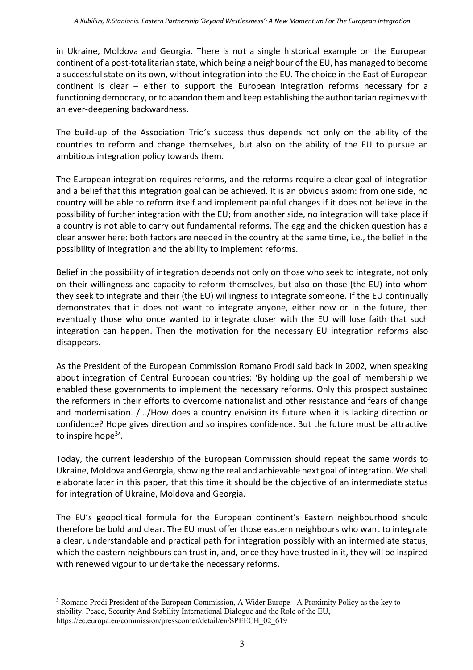in Ukraine, Moldova and Georgia. There is not a single historical example on the European continent of a post-totalitarian state, which being a neighbour of the EU, has managed to become a successful state on its own, without integration into the EU. The choice in the East of European continent is clear – either to support the European integration reforms necessary for a functioning democracy, or to abandon them and keep establishing the authoritarian regimes with an ever-deepening backwardness.

The build-up of the Association Trio's success thus depends not only on the ability of the countries to reform and change themselves, but also on the ability of the EU to pursue an ambitious integration policy towards them.

The European integration requires reforms, and the reforms require a clear goal of integration and a belief that this integration goal can be achieved. It is an obvious axiom: from one side, no country will be able to reform itself and implement painful changes if it does not believe in the possibility of further integration with the EU; from another side, no integration will take place if a country is not able to carry out fundamental reforms. The egg and the chicken question has a clear answer here: both factors are needed in the country at the same time, i.e., the belief in the possibility of integration and the ability to implement reforms.

Belief in the possibility of integration depends not only on those who seek to integrate, not only on their willingness and capacity to reform themselves, but also on those (the EU) into whom they seek to integrate and their (the EU) willingness to integrate someone. If the EU continually demonstrates that it does not want to integrate anyone, either now or in the future, then eventually those who once wanted to integrate closer with the EU will lose faith that such integration can happen. Then the motivation for the necessary EU integration reforms also disappears.

As the President of the European Commission Romano Prodi said back in 2002, when speaking about integration of Central European countries: 'By holding up the goal of membership we enabled these governments to implement the necessary reforms. Only this prospect sustained the reformers in their efforts to overcome nationalist and other resistance and fears of change and modernisation. /.../How does a country envision its future when it is lacking direction or confidence? Hope gives direction and so inspires confidence. But the future must be attractive to inspire hope<sup>3'</sup>.

Today, the current leadership of the European Commission should repeat the same words to Ukraine, Moldova and Georgia, showing the real and achievable next goal of integration. We shall elaborate later in this paper, that this time it should be the objective of an intermediate status for integration of Ukraine, Moldova and Georgia.

The EU's geopolitical formula for the European continent's Eastern neighbourhood should therefore be bold and clear. The EU must offer those eastern neighbours who want to integrate a clear, understandable and practical path for integration possibly with an intermediate status, which the eastern neighbours can trust in, and, once they have trusted in it, they will be inspired with renewed vigour to undertake the necessary reforms.

<sup>3</sup> Romano Prodi President of the European Commission, A Wider Europe - A Proximity Policy as the key to stability. Peace, Security And Stability International Dialogue and the Role of the EU, https://ec.europa.eu/commission/presscorner/detail/en/SPEECH\_02\_619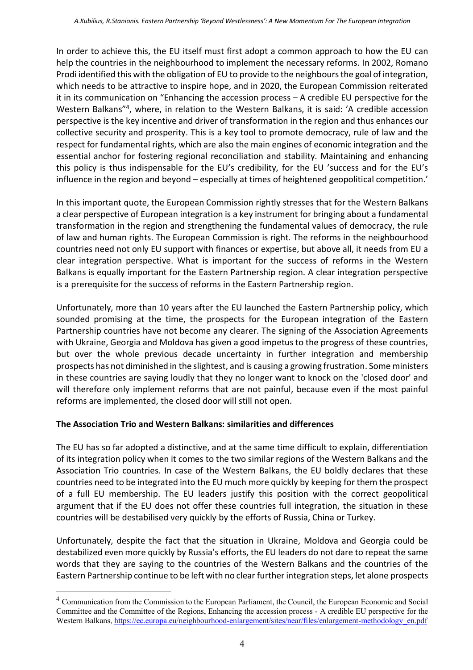In order to achieve this, the EU itself must first adopt a common approach to how the EU can help the countries in the neighbourhood to implement the necessary reforms. In 2002, Romano Prodi identified this with the obligation of EU to provide to the neighbours the goal of integration, which needs to be attractive to inspire hope, and in 2020, the European Commission reiterated it in its communication on "Enhancing the accession process – A credible EU perspective for the Western Balkans"4 , where, in relation to the Western Balkans, it is said: 'A credible accession perspective is the key incentive and driver of transformation in the region and thus enhances our collective security and prosperity. This is a key tool to promote democracy, rule of law and the respect for fundamental rights, which are also the main engines of economic integration and the essential anchor for fostering regional reconciliation and stability. Maintaining and enhancing this policy is thus indispensable for the EU's credibility, for the EU 'success and for the EU's influence in the region and beyond – especially at times of heightened geopolitical competition.'

In this important quote, the European Commission rightly stresses that for the Western Balkans a clear perspective of European integration is a key instrument for bringing about a fundamental transformation in the region and strengthening the fundamental values of democracy, the rule of law and human rights. The European Commission is right. The reforms in the neighbourhood countries need not only EU support with finances or expertise, but above all, it needs from EU a clear integration perspective. What is important for the success of reforms in the Western Balkans is equally important for the Eastern Partnership region. A clear integration perspective is a prerequisite for the success of reforms in the Eastern Partnership region.

Unfortunately, more than 10 years after the EU launched the Eastern Partnership policy, which sounded promising at the time, the prospects for the European integration of the Eastern Partnership countries have not become any clearer. The signing of the Association Agreements with Ukraine, Georgia and Moldova has given a good impetus to the progress of these countries, but over the whole previous decade uncertainty in further integration and membership prospects has not diminished in the slightest, and is causing a growing frustration. Some ministers in these countries are saying loudly that they no longer want to knock on the 'closed door' and will therefore only implement reforms that are not painful, because even if the most painful reforms are implemented, the closed door will still not open.

## **The Association Trio and Western Balkans: similarities and differences**

The EU has so far adopted a distinctive, and at the same time difficult to explain, differentiation of its integration policy when it comes to the two similar regions of the Western Balkans and the Association Trio countries. In case of the Western Balkans, the EU boldly declares that these countries need to be integrated into the EU much more quickly by keeping for them the prospect of a full EU membership. The EU leaders justify this position with the correct geopolitical argument that if the EU does not offer these countries full integration, the situation in these countries will be destabilised very quickly by the efforts of Russia, China or Turkey.

Unfortunately, despite the fact that the situation in Ukraine, Moldova and Georgia could be destabilized even more quickly by Russia's efforts, the EU leaders do not dare to repeat the same words that they are saying to the countries of the Western Balkans and the countries of the Eastern Partnership continue to be left with no clear further integration steps, let alone prospects

<sup>4</sup> Communication from the Commission to the European Parliament, the Council, the European Economic and Social Committee and the Committee of the Regions, Enhancing the accession process - A credible EU perspective for the Western Balkans, https://ec.europa.eu/neighbourhood-enlargement/sites/near/files/enlargement-methodology\_en.pdf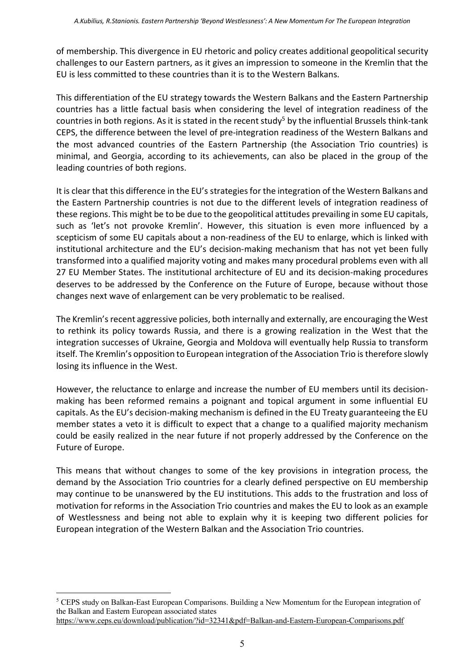of membership. This divergence in EU rhetoric and policy creates additional geopolitical security challenges to our Eastern partners, as it gives an impression to someone in the Kremlin that the EU is less committed to these countries than it is to the Western Balkans.

This differentiation of the EU strategy towards the Western Balkans and the Eastern Partnership countries has a little factual basis when considering the level of integration readiness of the countries in both regions. As it is stated in the recent study<sup>5</sup> by the influential Brussels think-tank CEPS, the difference between the level of pre-integration readiness of the Western Balkans and the most advanced countries of the Eastern Partnership (the Association Trio countries) is minimal, and Georgia, according to its achievements, can also be placed in the group of the leading countries of both regions.

It is clear that this difference in the EU's strategiesfor the integration of the Western Balkans and the Eastern Partnership countries is not due to the different levels of integration readiness of these regions. This might be to be due to the geopolitical attitudes prevailing in some EU capitals, such as 'let's not provoke Kremlin'. However, this situation is even more influenced by a scepticism of some EU capitals about a non-readiness of the EU to enlarge, which is linked with institutional architecture and the EU's decision-making mechanism that has not yet been fully transformed into a qualified majority voting and makes many procedural problems even with all 27 EU Member States. The institutional architecture of EU and its decision-making procedures deserves to be addressed by the Conference on the Future of Europe, because without those changes next wave of enlargement can be very problematic to be realised.

The Kremlin's recent aggressive policies, both internally and externally, are encouraging the West to rethink its policy towards Russia, and there is a growing realization in the West that the integration successes of Ukraine, Georgia and Moldova will eventually help Russia to transform itself. The Kremlin's opposition to European integration of the Association Trio istherefore slowly losing its influence in the West.

However, the reluctance to enlarge and increase the number of EU members until its decisionmaking has been reformed remains a poignant and topical argument in some influential EU capitals. As the EU's decision-making mechanism is defined in the EU Treaty guaranteeing the EU member states a veto it is difficult to expect that a change to a qualified majority mechanism could be easily realized in the near future if not properly addressed by the Conference on the Future of Europe.

This means that without changes to some of the key provisions in integration process, the demand by the Association Trio countries for a clearly defined perspective on EU membership may continue to be unanswered by the EU institutions. This adds to the frustration and loss of motivation for reforms in the Association Trio countries and makes the EU to look as an example of Westlessness and being not able to explain why it is keeping two different policies for European integration of the Western Balkan and the Association Trio countries.

<sup>5</sup> CEPS study on Balkan-East European Comparisons. Building a New Momentum for the European integration of the Balkan and Eastern European associated states https://www.ceps.eu/download/publication/?id=32341&pdf=Balkan-and-Eastern-European-Comparisons.pdf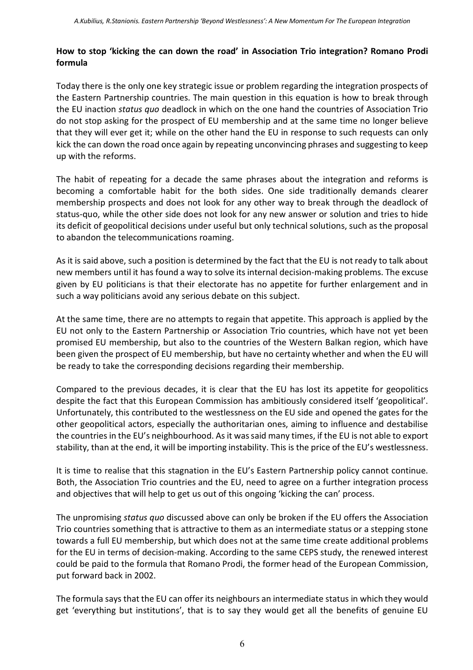#### **How to stop 'kicking the can down the road' in Association Trio integration? Romano Prodi formula**

Today there is the only one key strategic issue or problem regarding the integration prospects of the Eastern Partnership countries. The main question in this equation is how to break through the EU inaction *status quo* deadlock in which on the one hand the countries of Association Trio do not stop asking for the prospect of EU membership and at the same time no longer believe that they will ever get it; while on the other hand the EU in response to such requests can only kick the can down the road once again by repeating unconvincing phrases and suggesting to keep up with the reforms.

The habit of repeating for a decade the same phrases about the integration and reforms is becoming a comfortable habit for the both sides. One side traditionally demands clearer membership prospects and does not look for any other way to break through the deadlock of status-quo, while the other side does not look for any new answer or solution and tries to hide its deficit of geopolitical decisions under useful but only technical solutions, such as the proposal to abandon the telecommunications roaming.

As it is said above, such a position is determined by the fact that the EU is not ready to talk about new members until it has found a way to solve itsinternal decision-making problems. The excuse given by EU politicians is that their electorate has no appetite for further enlargement and in such a way politicians avoid any serious debate on this subject.

At the same time, there are no attempts to regain that appetite. This approach is applied by the EU not only to the Eastern Partnership or Association Trio countries, which have not yet been promised EU membership, but also to the countries of the Western Balkan region, which have been given the prospect of EU membership, but have no certainty whether and when the EU will be ready to take the corresponding decisions regarding their membership.

Compared to the previous decades, it is clear that the EU has lost its appetite for geopolitics despite the fact that this European Commission has ambitiously considered itself 'geopolitical'. Unfortunately, this contributed to the westlessness on the EU side and opened the gates for the other geopolitical actors, especially the authoritarian ones, aiming to influence and destabilise the countries in the EU's neighbourhood. As it was said many times, if the EU is not able to export stability, than at the end, it will be importing instability. This is the price of the EU's westlessness.

It is time to realise that this stagnation in the EU's Eastern Partnership policy cannot continue. Both, the Association Trio countries and the EU, need to agree on a further integration process and objectives that will help to get us out of this ongoing 'kicking the can' process.

The unpromising *status quo* discussed above can only be broken if the EU offers the Association Trio countries something that is attractive to them as an intermediate status or a stepping stone towards a full EU membership, but which does not at the same time create additional problems for the EU in terms of decision-making. According to the same CEPS study, the renewed interest could be paid to the formula that Romano Prodi, the former head of the European Commission, put forward back in 2002.

The formula says that the EU can offer its neighbours an intermediate status in which they would get 'everything but institutions', that is to say they would get all the benefits of genuine EU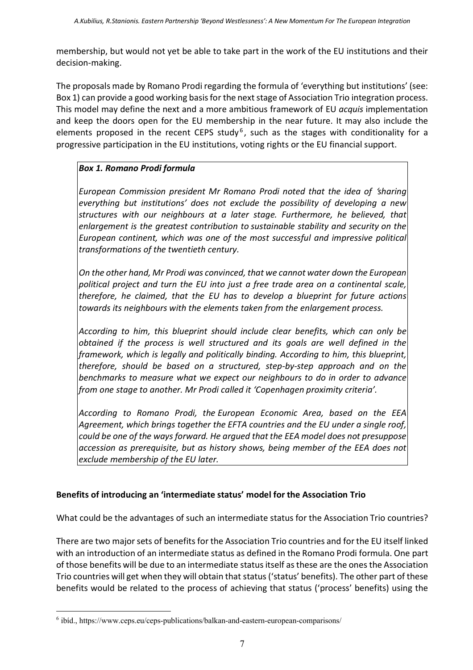membership, but would not yet be able to take part in the work of the EU institutions and their decision-making.

The proposals made by Romano Prodi regarding the formula of 'everything but institutions' (see: Box 1) can provide a good working basis for the next stage of Association Trio integration process. This model may define the next and a more ambitious framework of EU *acquis* implementation and keep the doors open for the EU membership in the near future. It may also include the elements proposed in the recent CEPS study<sup>6</sup>, such as the stages with conditionality for a progressive participation in the EU institutions, voting rights or the EU financial support.

# *Box 1. Romano Prodi formula*

*European Commission president Mr Romano Prodi noted that the idea of* '*sharing everything but institutions' does not exclude the possibility of developing a new structures with our neighbours at a later stage. Furthermore, he believed, that enlargement is the greatest contribution to sustainable stability and security on the European continent, which was one of the most successful and impressive political transformations of the twentieth century.*

*On the other hand, Mr Prodi was convinced, that we cannot water down the European political project and turn the EU into just a free trade area on a continental scale, therefore, he claimed, that the EU has to develop a blueprint for future actions towards its neighbours with the elements taken from the enlargement process.*

*According to him, this blueprint should include clear benefits, which can only be obtained if the process is well structured and its goals are well defined in the framework, which is legally and politically binding. According to him, this blueprint, therefore, should be based on a structured, step-by-step approach and on the benchmarks to measure what we expect our neighbours to do in order to advance from one stage to another. Mr Prodi called it 'Copenhagen proximity criteria'.*

*According to Romano Prodi, the European Economic Area, based on the EEA Agreement, which brings together the EFTA countries and the EU under a single roof, could be one of the waysforward. He argued that the EEA model does not presuppose accession as prerequisite, but as history shows, being member of the EEA does not exclude membership of the EU later.*

# **Benefits of introducing an 'intermediate status' model for the Association Trio**

What could be the advantages of such an intermediate status for the Association Trio countries?

There are two major sets of benefits for the Association Trio countries and for the EU itself linked with an introduction of an intermediate status as defined in the Romano Prodi formula. One part of those benefits will be due to an intermediate statusitself asthese are the onesthe Association Trio countries will get when they will obtain that status('status' benefits). The other part of these benefits would be related to the process of achieving that status ('process' benefits) using the

<sup>6</sup> ibíd., https://www.ceps.eu/ceps-publications/balkan-and-eastern-european-comparisons/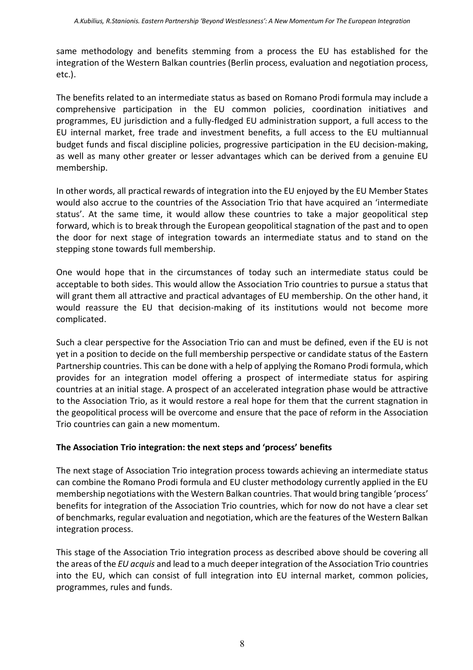same methodology and benefits stemming from a process the EU has established for the integration of the Western Balkan countries (Berlin process, evaluation and negotiation process, etc.).

The benefits related to an intermediate status as based on Romano Prodi formula may include a comprehensive participation in the EU common policies, coordination initiatives and programmes, EU jurisdiction and a fully-fledged EU administration support, a full access to the EU internal market, free trade and investment benefits, a full access to the EU multiannual budget funds and fiscal discipline policies, progressive participation in the EU decision-making, as well as many other greater or lesser advantages which can be derived from a genuine EU membership.

In other words, all practical rewards of integration into the EU enjoyed by the EU Member States would also accrue to the countries of the Association Trio that have acquired an 'intermediate status'. At the same time, it would allow these countries to take a major geopolitical step forward, which is to break through the European geopolitical stagnation of the past and to open the door for next stage of integration towards an intermediate status and to stand on the stepping stone towards full membership.

One would hope that in the circumstances of today such an intermediate status could be acceptable to both sides. This would allow the Association Trio countries to pursue a status that will grant them all attractive and practical advantages of EU membership. On the other hand, it would reassure the EU that decision-making of its institutions would not become more complicated.

Such a clear perspective for the Association Trio can and must be defined, even if the EU is not yet in a position to decide on the full membership perspective or candidate status of the Eastern Partnership countries. This can be done with a help of applying the Romano Prodi formula, which provides for an integration model offering a prospect of intermediate status for aspiring countries at an initial stage. A prospect of an accelerated integration phase would be attractive to the Association Trio, as it would restore a real hope for them that the current stagnation in the geopolitical process will be overcome and ensure that the pace of reform in the Association Trio countries can gain a new momentum.

#### **The Association Trio integration: the next steps and 'process' benefits**

The next stage of Association Trio integration process towards achieving an intermediate status can combine the Romano Prodi formula and EU cluster methodology currently applied in the EU membership negotiations with the Western Balkan countries. That would bring tangible 'process' benefits for integration of the Association Trio countries, which for now do not have a clear set of benchmarks, regular evaluation and negotiation, which are the features of the Western Balkan integration process.

This stage of the Association Trio integration process as described above should be covering all the areas of the *EU acquis* and lead to a much deeperintegration of the Association Trio countries into the EU, which can consist of full integration into EU internal market, common policies, programmes, rules and funds.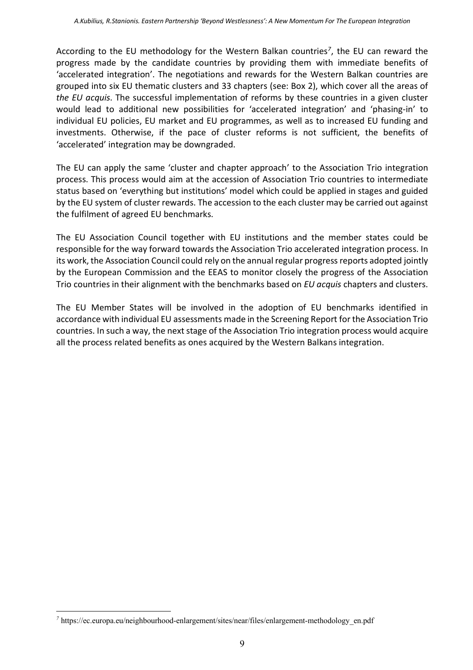According to the EU methodology for the Western Balkan countries*<sup>7</sup>*, the EU can reward the progress made by the candidate countries by providing them with immediate benefits of 'accelerated integration'. The negotiations and rewards for the Western Balkan countries are grouped into six EU thematic clusters and 33 chapters (see: Box 2), which cover all the areas of *the EU acquis*. The successful implementation of reforms by these countries in a given cluster would lead to additional new possibilities for 'accelerated integration' and 'phasing-in' to individual EU policies, EU market and EU programmes, as well as to increased EU funding and investments. Otherwise, if the pace of cluster reforms is not sufficient, the benefits of 'accelerated' integration may be downgraded.

The EU can apply the same 'cluster and chapter approach' to the Association Trio integration process. This process would aim at the accession of Association Trio countries to intermediate status based on 'everything but institutions' model which could be applied in stages and guided by the EU system of cluster rewards. The accession to the each cluster may be carried out against the fulfilment of agreed EU benchmarks.

The EU Association Council together with EU institutions and the member states could be responsible for the way forward towards the Association Trio accelerated integration process. In its work, the Association Council could rely on the annual regular progress reports adopted jointly by the European Commission and the EEAS to monitor closely the progress of the Association Trio countries in their alignment with the benchmarks based on *EU acquis* chapters and clusters.

The EU Member States will be involved in the adoption of EU benchmarks identified in accordance with individual EU assessments made in the Screening Report forthe Association Trio countries. In such a way, the next stage of the Association Trio integration process would acquire all the process related benefits as ones acquired by the Western Balkans integration.

*<sup>7</sup>* https://ec.europa.eu/neighbourhood-enlargement/sites/near/files/enlargement-methodology\_en.pdf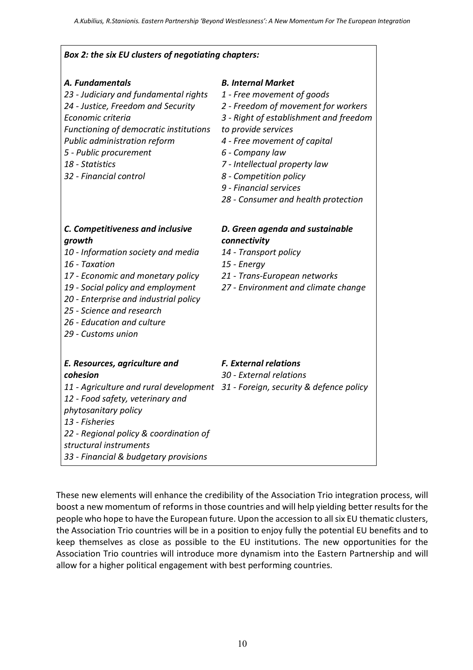$\overline{\phantom{a}}$ 

 $\overline{1}$ 

| Box 2: the six EU clusters of negotiating chapters:                                                                                                                                                                                                                                                   |                                                                                                                                                                                                                                                                                                                                                |
|-------------------------------------------------------------------------------------------------------------------------------------------------------------------------------------------------------------------------------------------------------------------------------------------------------|------------------------------------------------------------------------------------------------------------------------------------------------------------------------------------------------------------------------------------------------------------------------------------------------------------------------------------------------|
| A. Fundamentals<br>23 - Judiciary and fundamental rights<br>24 - Justice, Freedom and Security<br>Economic criteria<br>Functioning of democratic institutions<br>Public administration reform<br>5 - Public procurement<br>18 - Statistics<br>32 - Financial control                                  | <b>B. Internal Market</b><br>1 - Free movement of goods<br>2 - Freedom of movement for workers<br>3 - Right of establishment and freedom<br>to provide services<br>4 - Free movement of capital<br>6 - Company law<br>7 - Intellectual property law<br>8 - Competition policy<br>9 - Financial services<br>28 - Consumer and health protection |
| C. Competitiveness and inclusive<br>growth<br>10 - Information society and media<br>16 - Taxation<br>17 - Economic and monetary policy<br>19 - Social policy and employment<br>20 - Enterprise and industrial policy<br>25 - Science and research<br>26 - Education and culture<br>29 - Customs union | D. Green agenda and sustainable<br>connectivity<br>14 - Transport policy<br>15 - Energy<br>21 - Trans-European networks<br>27 - Environment and climate change                                                                                                                                                                                 |
| E. Resources, agriculture and<br>cohesion<br>11 - Agriculture and rural development<br>12 - Food safety, veterinary and<br>phytosanitary policy<br>13 - Fisheries<br>22 - Regional policy & coordination of<br>structural instruments<br>33 - Financial & budgetary provisions                        | <b>F. External relations</b><br>30 - External relations<br>31 - Foreign, security & defence policy                                                                                                                                                                                                                                             |

These new elements will enhance the credibility of the Association Trio integration process, will boost a new momentum of reforms in those countries and will help yielding better results for the people who hope to have the European future. Upon the accession to all six EU thematic clusters, the Association Trio countries will be in a position to enjoy fully the potential EU benefits and to keep themselves as close as possible to the EU institutions. The new opportunities for the Association Trio countries will introduce more dynamism into the Eastern Partnership and will allow for a higher political engagement with best performing countries.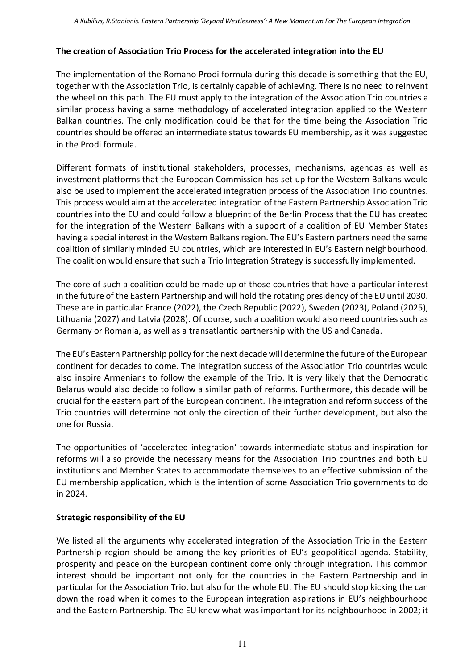### **The creation of Association Trio Process for the accelerated integration into the EU**

The implementation of the Romano Prodi formula during this decade is something that the EU, together with the Association Trio, is certainly capable of achieving. There is no need to reinvent the wheel on this path. The EU must apply to the integration of the Association Trio countries a similar process having a same methodology of accelerated integration applied to the Western Balkan countries. The only modification could be that for the time being the Association Trio countries should be offered an intermediate status towards EU membership, asit was suggested in the Prodi formula.

Different formats of institutional stakeholders, processes, mechanisms, agendas as well as investment platforms that the European Commission has set up for the Western Balkans would also be used to implement the accelerated integration process of the Association Trio countries. This process would aim at the accelerated integration of the Eastern Partnership Association Trio countries into the EU and could follow a blueprint of the Berlin Process that the EU has created for the integration of the Western Balkans with a support of a coalition of EU Member States having a special interest in the Western Balkans region. The EU's Eastern partners need the same coalition of similarly minded EU countries, which are interested in EU's Eastern neighbourhood. The coalition would ensure that such a Trio Integration Strategy is successfully implemented.

The core of such a coalition could be made up of those countries that have a particular interest in the future of the Eastern Partnership and will hold the rotating presidency of the EU until 2030. These are in particular France (2022), the Czech Republic (2022), Sweden (2023), Poland (2025), Lithuania (2027) and Latvia (2028). Of course, such a coalition would also need countries such as Germany or Romania, as well as a transatlantic partnership with the US and Canada.

The EU's Eastern Partnership policy for the next decade will determine the future of the European continent for decades to come. The integration success of the Association Trio countries would also inspire Armenians to follow the example of the Trio. It is very likely that the Democratic Belarus would also decide to follow a similar path of reforms. Furthermore, this decade will be crucial for the eastern part of the European continent. The integration and reform success of the Trio countries will determine not only the direction of their further development, but also the one for Russia.

The opportunities of 'accelerated integration' towards intermediate status and inspiration for reforms will also provide the necessary means for the Association Trio countries and both EU institutions and Member States to accommodate themselves to an effective submission of the EU membership application, which is the intention of some Association Trio governments to do in 2024.

## **Strategic responsibility of the EU**

We listed all the arguments why accelerated integration of the Association Trio in the Eastern Partnership region should be among the key priorities of EU's geopolitical agenda. Stability, prosperity and peace on the European continent come only through integration. This common interest should be important not only for the countries in the Eastern Partnership and in particular for the Association Trio, but also for the whole EU. The EU should stop kicking the can down the road when it comes to the European integration aspirations in EU's neighbourhood and the Eastern Partnership. The EU knew what was important for its neighbourhood in 2002; it